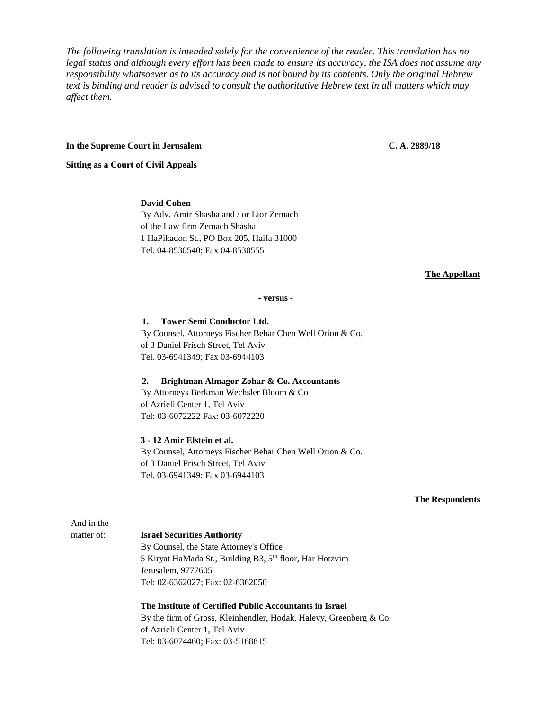*The following translation is intended solely for the convenience of the reader. This translation has no legal status and although every effort has been made to ensure its accuracy, the ISA does not assume any responsibility whatsoever as to its accuracy and is not bound by its contents. Only the original Hebrew text is binding and reader is advised to consult the authoritative Hebrew text in all matters which may affect them.*

#### **In the Supreme Court in Jerusalem C. A. 2889/18**

**Sitting as a Court of Civil Appeals**

### **David Cohen**

By Adv. Amir Shasha and / or Lior Zemach of the Law firm Zemach Shasha 1 HaPikadon St., PO Box 205, Haifa 31000 Tel. 04-8530540; Fax 04-8530555

#### **The Appellant**

#### **- versus -**

**1. Tower Semi Conductor Ltd.** By Counsel, Attorneys Fischer Behar Chen Well Orion & Co.

of 3 Daniel Frisch Street, Tel Aviv Tel. 03-6941349; Fax 03-6944103

#### **2. Brightman Almagor Zohar & Co. Accountants**

By Attorneys Berkman Wechsler Bloom & Co of Azrieli Center 1, Tel Aviv Tel: 03-6072222 Fax: 03-6072220

# **3 - 12 Amir Elstein et al.**

By Counsel, Attorneys Fischer Behar Chen Well Orion & Co. of 3 Daniel Frisch Street, Tel Aviv Tel. 03-6941349; Fax 03-6944103

#### **The Respondents**

And in the

#### matter of: **Israel Securities Authority**

By Counsel, the State Attorney's Office 5 Kiryat HaMada St., Building B3, 5th floor, Har Hotzvim Jerusalem, 9777605 Tel: 02-6362027; Fax: 02-6362050

**The Institute of Certified Public Accountants in Israe**l By the firm of Gross, Kleinhendler, Hodak, Halevy, Greenberg & Co. of Azrieli Center 1, Tel Aviv Tel: 03-6074460; Fax: 03-5168815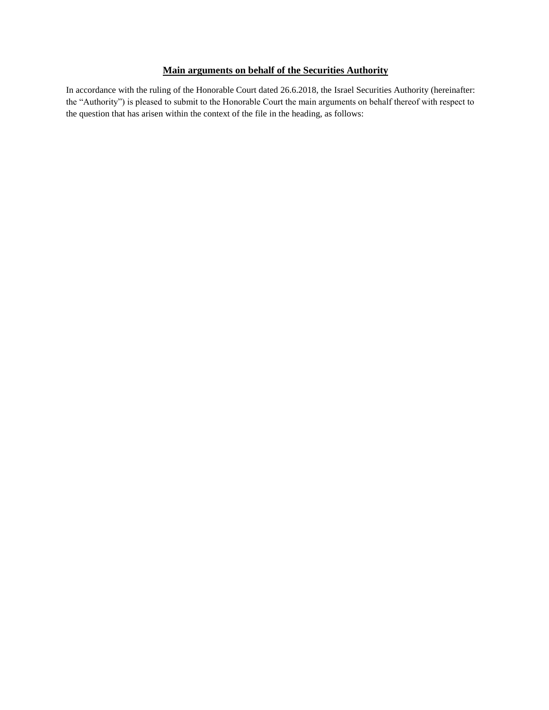# **Main arguments on behalf of the Securities Authority**

In accordance with the ruling of the Honorable Court dated 26.6.2018, the Israel Securities Authority (hereinafter: the "Authority") is pleased to submit to the Honorable Court the main arguments on behalf thereof with respect to the question that has arisen within the context of the file in the heading, as follows: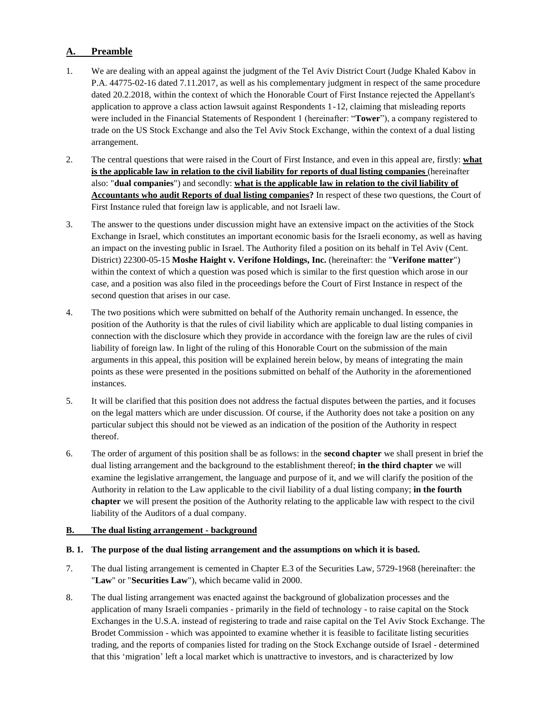# **A. Preamble**

- 1. We are dealing with an appeal against the judgment of the Tel Aviv District Court (Judge Khaled Kabov in P.A. 44775-02-16 dated 7.11.2017, as well as his complementary judgment in respect of the same procedure dated 20.2.2018, within the context of which the Honorable Court of First Instance rejected the Appellant's application to approve a class action lawsuit against Respondents 1-12, claiming that misleading reports were included in the Financial Statements of Respondent 1 (hereinafter: "**Tower**"), a company registered to trade on the US Stock Exchange and also the Tel Aviv Stock Exchange, within the context of a dual listing arrangement.
- 2. The central questions that were raised in the Court of First Instance, and even in this appeal are, firstly: **what is the applicable law in relation to the civil liability for reports of dual listing companies** (hereinafter also: "**dual companies**") and secondly: **what is the applicable law in relation to the civil liability of Accountants who audit Reports of dual listing companies?** In respect of these two questions, the Court of First Instance ruled that foreign law is applicable, and not Israeli law.
- 3. The answer to the questions under discussion might have an extensive impact on the activities of the Stock Exchange in Israel, which constitutes an important economic basis for the Israeli economy, as well as having an impact on the investing public in Israel. The Authority filed a position on its behalf in Tel Aviv (Cent. District) 22300-05-15 **Moshe Haight v. Verifone Holdings, Inc.** (hereinafter: the "**Verifone matter**") within the context of which a question was posed which is similar to the first question which arose in our case, and a position was also filed in the proceedings before the Court of First Instance in respect of the second question that arises in our case.
- 4. The two positions which were submitted on behalf of the Authority remain unchanged. In essence, the position of the Authority is that the rules of civil liability which are applicable to dual listing companies in connection with the disclosure which they provide in accordance with the foreign law are the rules of civil liability of foreign law. In light of the ruling of this Honorable Court on the submission of the main arguments in this appeal, this position will be explained herein below, by means of integrating the main points as these were presented in the positions submitted on behalf of the Authority in the aforementioned instances.
- 5. It will be clarified that this position does not address the factual disputes between the parties, and it focuses on the legal matters which are under discussion. Of course, if the Authority does not take a position on any particular subject this should not be viewed as an indication of the position of the Authority in respect thereof.
- 6. The order of argument of this position shall be as follows: in the **second chapter** we shall present in brief the dual listing arrangement and the background to the establishment thereof; **in the third chapter** we will examine the legislative arrangement, the language and purpose of it, and we will clarify the position of the Authority in relation to the Law applicable to the civil liability of a dual listing company; **in the fourth chapter** we will present the position of the Authority relating to the applicable law with respect to the civil liability of the Auditors of a dual company.

## **B. The dual listing arrangement - background**

## **B. 1. The purpose of the dual listing arrangement and the assumptions on which it is based.**

- 7. The dual listing arrangement is cemented in Chapter E.3 of the Securities Law, 5729-1968 (hereinafter: the "**Law**" or "**Securities Law**"), which became valid in 2000.
- 8. The dual listing arrangement was enacted against the background of globalization processes and the application of many Israeli companies - primarily in the field of technology - to raise capital on the Stock Exchanges in the U.S.A. instead of registering to trade and raise capital on the Tel Aviv Stock Exchange. The Brodet Commission - which was appointed to examine whether it is feasible to facilitate listing securities trading, and the reports of companies listed for trading on the Stock Exchange outside of Israel - determined that this 'migration' left a local market which is unattractive to investors, and is characterized by low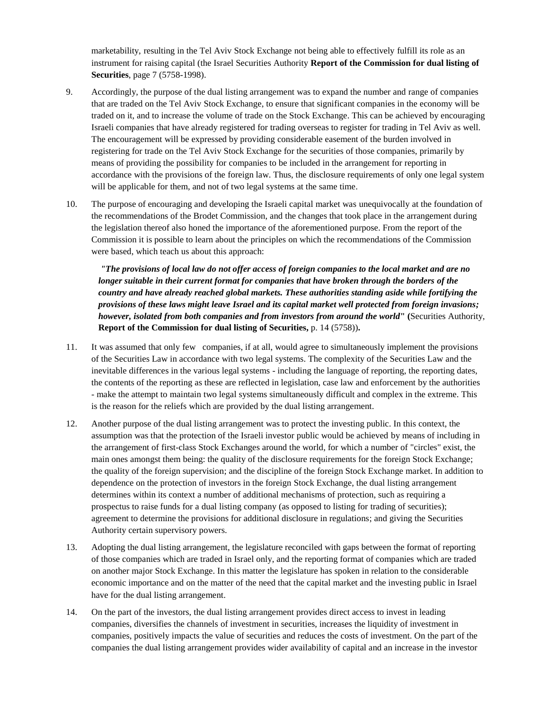marketability, resulting in the Tel Aviv Stock Exchange not being able to effectively fulfill its role as an instrument for raising capital (the Israel Securities Authority **Report of the Commission for dual listing of Securities**, page 7 (5758-1998).

- 9. Accordingly, the purpose of the dual listing arrangement was to expand the number and range of companies that are traded on the Tel Aviv Stock Exchange, to ensure that significant companies in the economy will be traded on it, and to increase the volume of trade on the Stock Exchange. This can be achieved by encouraging Israeli companies that have already registered for trading overseas to register for trading in Tel Aviv as well. The encouragement will be expressed by providing considerable easement of the burden involved in registering for trade on the Tel Aviv Stock Exchange for the securities of those companies, primarily by means of providing the possibility for companies to be included in the arrangement for reporting in accordance with the provisions of the foreign law. Thus, the disclosure requirements of only one legal system will be applicable for them, and not of two legal systems at the same time.
- 10. The purpose of encouraging and developing the Israeli capital market was unequivocally at the foundation of the recommendations of the Brodet Commission, and the changes that took place in the arrangement during the legislation thereof also honed the importance of the aforementioned purpose. From the report of the Commission it is possible to learn about the principles on which the recommendations of the Commission were based, which teach us about this approach:

*"The provisions of local law do not offer access of foreign companies to the local market and are no longer suitable in their current format for companies that have broken through the borders of the country and have already reached global markets. These authorities standing aside while fortifying the provisions of these laws might leave Israel and its capital market well protected from foreign invasions; however, isolated from both companies and from investors from around the world***" (**Securities Authority, **Report of the Commission for dual listing of Securities,** p. 14 (5758))**.**

- 11. It was assumed that only few companies, if at all, would agree to simultaneously implement the provisions of the Securities Law in accordance with two legal systems. The complexity of the Securities Law and the inevitable differences in the various legal systems - including the language of reporting, the reporting dates, the contents of the reporting as these are reflected in legislation, case law and enforcement by the authorities - make the attempt to maintain two legal systems simultaneously difficult and complex in the extreme. This is the reason for the reliefs which are provided by the dual listing arrangement.
- 12. Another purpose of the dual listing arrangement was to protect the investing public. In this context, the assumption was that the protection of the Israeli investor public would be achieved by means of including in the arrangement of first-class Stock Exchanges around the world, for which a number of "circles" exist, the main ones amongst them being: the quality of the disclosure requirements for the foreign Stock Exchange; the quality of the foreign supervision; and the discipline of the foreign Stock Exchange market. In addition to dependence on the protection of investors in the foreign Stock Exchange, the dual listing arrangement determines within its context a number of additional mechanisms of protection, such as requiring a prospectus to raise funds for a dual listing company (as opposed to listing for trading of securities); agreement to determine the provisions for additional disclosure in regulations; and giving the Securities Authority certain supervisory powers.
- 13. Adopting the dual listing arrangement, the legislature reconciled with gaps between the format of reporting of those companies which are traded in Israel only, and the reporting format of companies which are traded on another major Stock Exchange. In this matter the legislature has spoken in relation to the considerable economic importance and on the matter of the need that the capital market and the investing public in Israel have for the dual listing arrangement.
- 14. On the part of the investors, the dual listing arrangement provides direct access to invest in leading companies, diversifies the channels of investment in securities, increases the liquidity of investment in companies, positively impacts the value of securities and reduces the costs of investment. On the part of the companies the dual listing arrangement provides wider availability of capital and an increase in the investor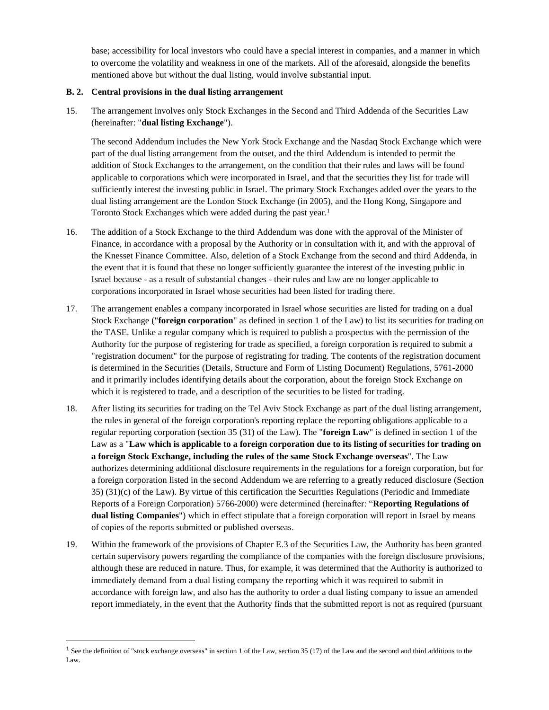base; accessibility for local investors who could have a special interest in companies, and a manner in which to overcome the volatility and weakness in one of the markets. All of the aforesaid, alongside the benefits mentioned above but without the dual listing, would involve substantial input.

## **B. 2. Central provisions in the dual listing arrangement**

15. The arrangement involves only Stock Exchanges in the Second and Third Addenda of the Securities Law (hereinafter: "**dual listing Exchange**").

The second Addendum includes the New York Stock Exchange and the Nasdaq Stock Exchange which were part of the dual listing arrangement from the outset, and the third Addendum is intended to permit the addition of Stock Exchanges to the arrangement, on the condition that their rules and laws will be found applicable to corporations which were incorporated in Israel, and that the securities they list for trade will sufficiently interest the investing public in Israel. The primary Stock Exchanges added over the years to the dual listing arrangement are the London Stock Exchange (in 2005), and the Hong Kong, Singapore and Toronto Stock Exchanges which were added during the past year.<sup>1</sup>

- 16. The addition of a Stock Exchange to the third Addendum was done with the approval of the Minister of Finance, in accordance with a proposal by the Authority or in consultation with it, and with the approval of the Knesset Finance Committee. Also, deletion of a Stock Exchange from the second and third Addenda, in the event that it is found that these no longer sufficiently guarantee the interest of the investing public in Israel because - as a result of substantial changes - their rules and law are no longer applicable to corporations incorporated in Israel whose securities had been listed for trading there.
- 17. The arrangement enables a company incorporated in Israel whose securities are listed for trading on a dual Stock Exchange ("**foreign corporation**" as defined in section 1 of the Law) to list its securities for trading on the TASE. Unlike a regular company which is required to publish a prospectus with the permission of the Authority for the purpose of registering for trade as specified, a foreign corporation is required to submit a "registration document" for the purpose of registrating for trading. The contents of the registration document is determined in the Securities (Details, Structure and Form of Listing Document) Regulations, 5761-2000 and it primarily includes identifying details about the corporation, about the foreign Stock Exchange on which it is registered to trade, and a description of the securities to be listed for trading.
- 18. After listing its securities for trading on the Tel Aviv Stock Exchange as part of the dual listing arrangement, the rules in general of the foreign corporation's reporting replace the reporting obligations applicable to a regular reporting corporation (section 35 (31) of the Law). The "**foreign Law**" is defined in section 1 of the Law as a "**Law which is applicable to a foreign corporation due to its listing of securities for trading on a foreign Stock Exchange, including the rules of the same Stock Exchange overseas**". The Law authorizes determining additional disclosure requirements in the regulations for a foreign corporation, but for a foreign corporation listed in the second Addendum we are referring to a greatly reduced disclosure (Section 35) (31)(c) of the Law). By virtue of this certification the Securities Regulations (Periodic and Immediate Reports of a Foreign Corporation) 5766-2000) were determined (hereinafter: "**Reporting Regulations of dual listing Companies**") which in effect stipulate that a foreign corporation will report in Israel by means of copies of the reports submitted or published overseas.
- 19. Within the framework of the provisions of Chapter E.3 of the Securities Law, the Authority has been granted certain supervisory powers regarding the compliance of the companies with the foreign disclosure provisions, although these are reduced in nature. Thus, for example, it was determined that the Authority is authorized to immediately demand from a dual listing company the reporting which it was required to submit in accordance with foreign law, and also has the authority to order a dual listing company to issue an amended report immediately, in the event that the Authority finds that the submitted report is not as required (pursuant

 $\ddot{\phantom{a}}$ 

<sup>&</sup>lt;sup>1</sup> See the definition of "stock exchange overseas" in section 1 of the Law, section 35 (17) of the Law and the second and third additions to the Law.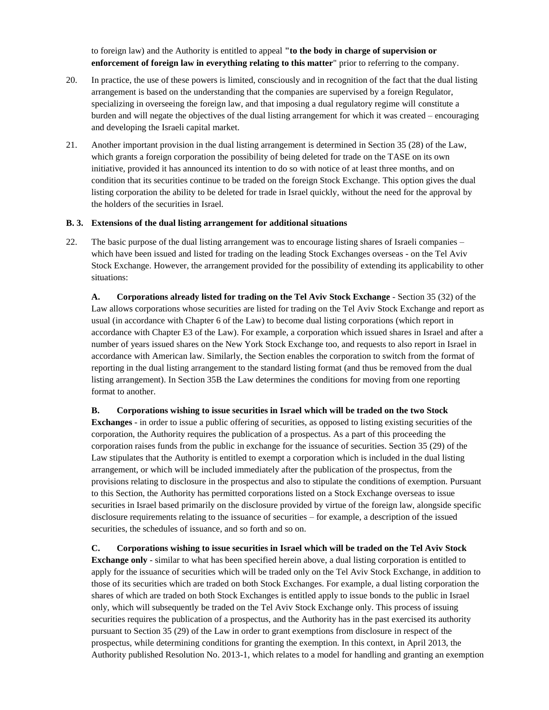to foreign law) and the Authority is entitled to appeal **"to the body in charge of supervision or enforcement of foreign law in everything relating to this matter**" prior to referring to the company.

- 20. In practice, the use of these powers is limited, consciously and in recognition of the fact that the dual listing arrangement is based on the understanding that the companies are supervised by a foreign Regulator, specializing in overseeing the foreign law, and that imposing a dual regulatory regime will constitute a burden and will negate the objectives of the dual listing arrangement for which it was created – encouraging and developing the Israeli capital market.
- 21. Another important provision in the dual listing arrangement is determined in Section 35 (28) of the Law, which grants a foreign corporation the possibility of being deleted for trade on the TASE on its own initiative, provided it has announced its intention to do so with notice of at least three months, and on condition that its securities continue to be traded on the foreign Stock Exchange. This option gives the dual listing corporation the ability to be deleted for trade in Israel quickly, without the need for the approval by the holders of the securities in Israel.

#### **B. 3. Extensions of the dual listing arrangement for additional situations**

22. The basic purpose of the dual listing arrangement was to encourage listing shares of Israeli companies – which have been issued and listed for trading on the leading Stock Exchanges overseas - on the Tel Aviv Stock Exchange. However, the arrangement provided for the possibility of extending its applicability to other situations:

**A. Corporations already listed for trading on the Tel Aviv Stock Exchange** - Section 35 (32) of the Law allows corporations whose securities are listed for trading on the Tel Aviv Stock Exchange and report as usual (in accordance with Chapter 6 of the Law) to become dual listing corporations (which report in accordance with Chapter E3 of the Law). For example, a corporation which issued shares in Israel and after a number of years issued shares on the New York Stock Exchange too, and requests to also report in Israel in accordance with American law. Similarly, the Section enables the corporation to switch from the format of reporting in the dual listing arrangement to the standard listing format (and thus be removed from the dual listing arrangement). In Section 35B the Law determines the conditions for moving from one reporting format to another.

**B. Corporations wishing to issue securities in Israel which will be traded on the two Stock** 

**Exchanges** - in order to issue a public offering of securities, as opposed to listing existing securities of the corporation, the Authority requires the publication of a prospectus. As a part of this proceeding the corporation raises funds from the public in exchange for the issuance of securities. Section 35 (29) of the Law stipulates that the Authority is entitled to exempt a corporation which is included in the dual listing arrangement, or which will be included immediately after the publication of the prospectus, from the provisions relating to disclosure in the prospectus and also to stipulate the conditions of exemption. Pursuant to this Section, the Authority has permitted corporations listed on a Stock Exchange overseas to issue securities in Israel based primarily on the disclosure provided by virtue of the foreign law, alongside specific disclosure requirements relating to the issuance of securities – for example, a description of the issued securities, the schedules of issuance, and so forth and so on.

**C. Corporations wishing to issue securities in Israel which will be traded on the Tel Aviv Stock Exchange only** - similar to what has been specified herein above, a dual listing corporation is entitled to apply for the issuance of securities which will be traded only on the Tel Aviv Stock Exchange, in addition to those of its securities which are traded on both Stock Exchanges. For example, a dual listing corporation the shares of which are traded on both Stock Exchanges is entitled apply to issue bonds to the public in Israel only, which will subsequently be traded on the Tel Aviv Stock Exchange only. This process of issuing securities requires the publication of a prospectus, and the Authority has in the past exercised its authority pursuant to Section 35 (29) of the Law in order to grant exemptions from disclosure in respect of the prospectus, while determining conditions for granting the exemption. In this context, in April 2013, the Authority published Resolution No. 2013-1, which relates to a model for handling and granting an exemption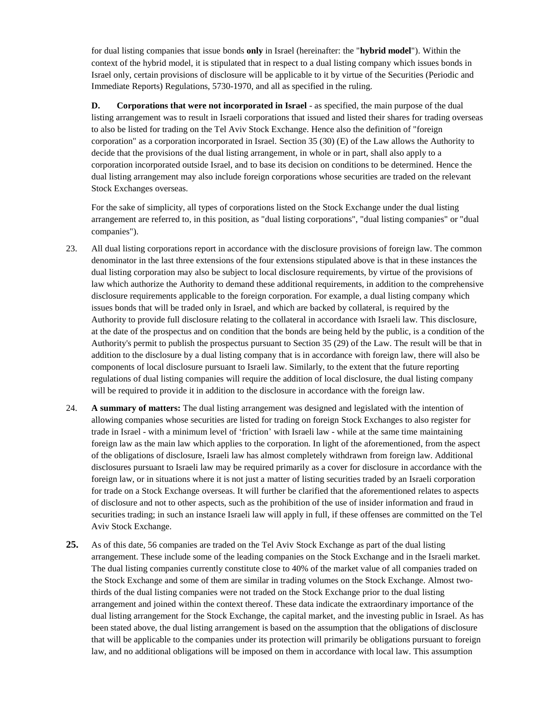for dual listing companies that issue bonds **only** in Israel (hereinafter: the "**hybrid model**"). Within the context of the hybrid model, it is stipulated that in respect to a dual listing company which issues bonds in Israel only, certain provisions of disclosure will be applicable to it by virtue of the Securities (Periodic and Immediate Reports) Regulations, 5730-1970, and all as specified in the ruling.

**D. Corporations that were not incorporated in Israel** - as specified, the main purpose of the dual listing arrangement was to result in Israeli corporations that issued and listed their shares for trading overseas to also be listed for trading on the Tel Aviv Stock Exchange. Hence also the definition of "foreign corporation" as a corporation incorporated in Israel. Section 35 (30) (E) of the Law allows the Authority to decide that the provisions of the dual listing arrangement, in whole or in part, shall also apply to a corporation incorporated outside Israel, and to base its decision on conditions to be determined. Hence the dual listing arrangement may also include foreign corporations whose securities are traded on the relevant Stock Exchanges overseas.

For the sake of simplicity, all types of corporations listed on the Stock Exchange under the dual listing arrangement are referred to, in this position, as "dual listing corporations", "dual listing companies" or "dual companies").

- 23. All dual listing corporations report in accordance with the disclosure provisions of foreign law. The common denominator in the last three extensions of the four extensions stipulated above is that in these instances the dual listing corporation may also be subject to local disclosure requirements, by virtue of the provisions of law which authorize the Authority to demand these additional requirements, in addition to the comprehensive disclosure requirements applicable to the foreign corporation. For example, a dual listing company which issues bonds that will be traded only in Israel, and which are backed by collateral, is required by the Authority to provide full disclosure relating to the collateral in accordance with Israeli law. This disclosure, at the date of the prospectus and on condition that the bonds are being held by the public, is a condition of the Authority's permit to publish the prospectus pursuant to Section 35 (29) of the Law. The result will be that in addition to the disclosure by a dual listing company that is in accordance with foreign law, there will also be components of local disclosure pursuant to Israeli law. Similarly, to the extent that the future reporting regulations of dual listing companies will require the addition of local disclosure, the dual listing company will be required to provide it in addition to the disclosure in accordance with the foreign law.
- 24. **A summary of matters:** The dual listing arrangement was designed and legislated with the intention of allowing companies whose securities are listed for trading on foreign Stock Exchanges to also register for trade in Israel - with a minimum level of 'friction' with Israeli law - while at the same time maintaining foreign law as the main law which applies to the corporation. In light of the aforementioned, from the aspect of the obligations of disclosure, Israeli law has almost completely withdrawn from foreign law. Additional disclosures pursuant to Israeli law may be required primarily as a cover for disclosure in accordance with the foreign law, or in situations where it is not just a matter of listing securities traded by an Israeli corporation for trade on a Stock Exchange overseas. It will further be clarified that the aforementioned relates to aspects of disclosure and not to other aspects, such as the prohibition of the use of insider information and fraud in securities trading; in such an instance Israeli law will apply in full, if these offenses are committed on the Tel Aviv Stock Exchange.
- **25.** As of this date, 56 companies are traded on the Tel Aviv Stock Exchange as part of the dual listing arrangement. These include some of the leading companies on the Stock Exchange and in the Israeli market. The dual listing companies currently constitute close to 40% of the market value of all companies traded on the Stock Exchange and some of them are similar in trading volumes on the Stock Exchange. Almost twothirds of the dual listing companies were not traded on the Stock Exchange prior to the dual listing arrangement and joined within the context thereof. These data indicate the extraordinary importance of the dual listing arrangement for the Stock Exchange, the capital market, and the investing public in Israel. As has been stated above, the dual listing arrangement is based on the assumption that the obligations of disclosure that will be applicable to the companies under its protection will primarily be obligations pursuant to foreign law, and no additional obligations will be imposed on them in accordance with local law. This assumption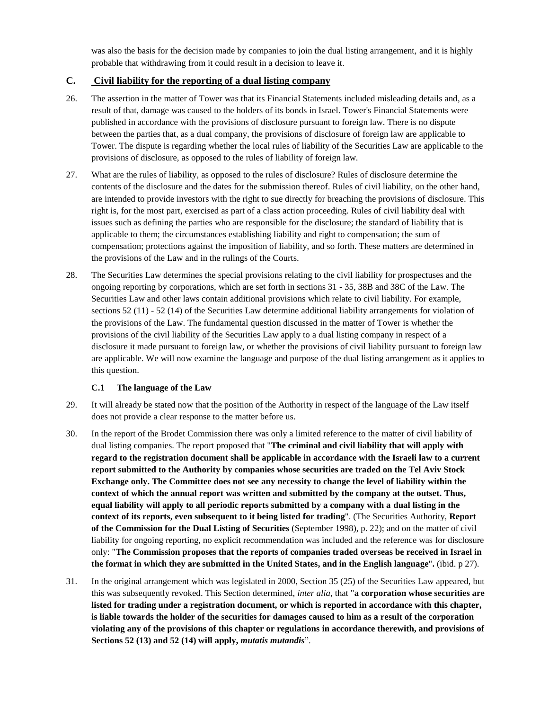was also the basis for the decision made by companies to join the dual listing arrangement, and it is highly probable that withdrawing from it could result in a decision to leave it.

# **C. Civil liability for the reporting of a dual listing company**

- 26. The assertion in the matter of Tower was that its Financial Statements included misleading details and, as a result of that, damage was caused to the holders of its bonds in Israel. Tower's Financial Statements were published in accordance with the provisions of disclosure pursuant to foreign law. There is no dispute between the parties that, as a dual company, the provisions of disclosure of foreign law are applicable to Tower. The dispute is regarding whether the local rules of liability of the Securities Law are applicable to the provisions of disclosure, as opposed to the rules of liability of foreign law.
- 27. What are the rules of liability, as opposed to the rules of disclosure? Rules of disclosure determine the contents of the disclosure and the dates for the submission thereof. Rules of civil liability, on the other hand, are intended to provide investors with the right to sue directly for breaching the provisions of disclosure. This right is, for the most part, exercised as part of a class action proceeding. Rules of civil liability deal with issues such as defining the parties who are responsible for the disclosure; the standard of liability that is applicable to them; the circumstances establishing liability and right to compensation; the sum of compensation; protections against the imposition of liability, and so forth. These matters are determined in the provisions of the Law and in the rulings of the Courts.
- 28. The Securities Law determines the special provisions relating to the civil liability for prospectuses and the ongoing reporting by corporations, which are set forth in sections 31 - 35, 38B and 38C of the Law. The Securities Law and other laws contain additional provisions which relate to civil liability. For example, sections 52 (11) - 52 (14) of the Securities Law determine additional liability arrangements for violation of the provisions of the Law. The fundamental question discussed in the matter of Tower is whether the provisions of the civil liability of the Securities Law apply to a dual listing company in respect of a disclosure it made pursuant to foreign law, or whether the provisions of civil liability pursuant to foreign law are applicable. We will now examine the language and purpose of the dual listing arrangement as it applies to this question.

# **C.1 The language of the Law**

- 29. It will already be stated now that the position of the Authority in respect of the language of the Law itself does not provide a clear response to the matter before us.
- 30. In the report of the Brodet Commission there was only a limited reference to the matter of civil liability of dual listing companies. The report proposed that "**The criminal and civil liability that will apply with regard to the registration document shall be applicable in accordance with the Israeli law to a current report submitted to the Authority by companies whose securities are traded on the Tel Aviv Stock Exchange only. The Committee does not see any necessity to change the level of liability within the context of which the annual report was written and submitted by the company at the outset. Thus, equal liability will apply to all periodic reports submitted by a company with a dual listing in the context of its reports, even subsequent to it being listed for trading**". (The Securities Authority, **Report of the Commission for the Dual Listing of Securities** (September 1998), p. 22); and on the matter of civil liability for ongoing reporting, no explicit recommendation was included and the reference was for disclosure only: "**The Commission proposes that the reports of companies traded overseas be received in Israel in the format in which they are submitted in the United States, and in the English language**"**.** (ibid. p 27).
- 31. In the original arrangement which was legislated in 2000, Section 35 (25) of the Securities Law appeared, but this was subsequently revoked. This Section determined, *inter alia*, that "**a corporation whose securities are listed for trading under a registration document, or which is reported in accordance with this chapter, is liable towards the holder of the securities for damages caused to him as a result of the corporation violating any of the provisions of this chapter or regulations in accordance therewith, and provisions of Sections 52 (13) and 52 (14) will apply,** *mutatis mutandis*".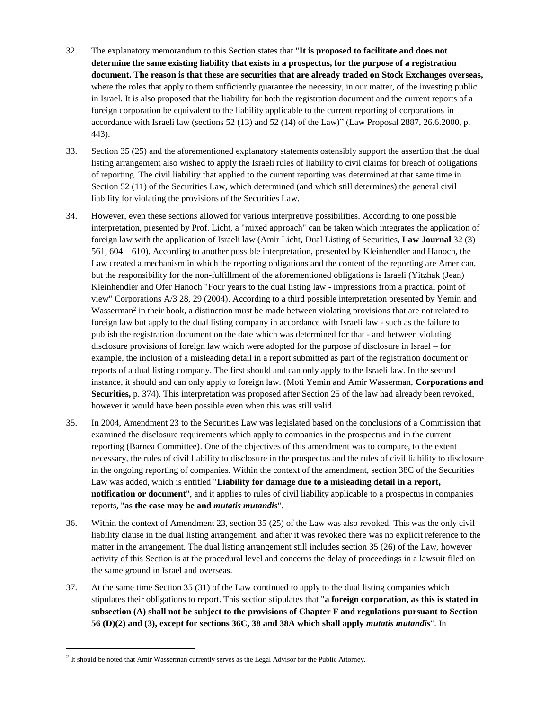- 32. The explanatory memorandum to this Section states that "**It is proposed to facilitate and does not determine the same existing liability that exists in a prospectus, for the purpose of a registration document. The reason is that these are securities that are already traded on Stock Exchanges overseas,** where the roles that apply to them sufficiently guarantee the necessity, in our matter, of the investing public in Israel. It is also proposed that the liability for both the registration document and the current reports of a foreign corporation be equivalent to the liability applicable to the current reporting of corporations in accordance with Israeli law (sections 52 (13) and 52 (14) of the Law)" (Law Proposal 2887, 26.6.2000, p. 443).
- 33. Section 35 (25) and the aforementioned explanatory statements ostensibly support the assertion that the dual listing arrangement also wished to apply the Israeli rules of liability to civil claims for breach of obligations of reporting. The civil liability that applied to the current reporting was determined at that same time in Section 52 (11) of the Securities Law, which determined (and which still determines) the general civil liability for violating the provisions of the Securities Law.
- 34. However, even these sections allowed for various interpretive possibilities. According to one possible interpretation, presented by Prof. Licht, a "mixed approach" can be taken which integrates the application of foreign law with the application of Israeli law (Amir Licht, Dual Listing of Securities, **Law Journal** 32 (3) 561, 604 – 610). According to another possible interpretation, presented by Kleinhendler and Hanoch, the Law created a mechanism in which the reporting obligations and the content of the reporting are American, but the responsibility for the non-fulfillment of the aforementioned obligations is Israeli (Yitzhak (Jean) Kleinhendler and Ofer Hanoch "Four years to the dual listing law - impressions from a practical point of view" Corporations A/3 28, 29 (2004). According to a third possible interpretation presented by Yemin and Wasserman<sup>2</sup> in their book, a distinction must be made between violating provisions that are not related to foreign law but apply to the dual listing company in accordance with Israeli law - such as the failure to publish the registration document on the date which was determined for that - and between violating disclosure provisions of foreign law which were adopted for the purpose of disclosure in Israel – for example, the inclusion of a misleading detail in a report submitted as part of the registration document or reports of a dual listing company. The first should and can only apply to the Israeli law. In the second instance, it should and can only apply to foreign law. (Moti Yemin and Amir Wasserman, **Corporations and Securities,** p. 374). This interpretation was proposed after Section 25 of the law had already been revoked, however it would have been possible even when this was still valid.
- 35. In 2004, Amendment 23 to the Securities Law was legislated based on the conclusions of a Commission that examined the disclosure requirements which apply to companies in the prospectus and in the current reporting (Barnea Committee). One of the objectives of this amendment was to compare, to the extent necessary, the rules of civil liability to disclosure in the prospectus and the rules of civil liability to disclosure in the ongoing reporting of companies. Within the context of the amendment, section 38C of the Securities Law was added, which is entitled "**Liability for damage due to a misleading detail in a report, notification or document**", and it applies to rules of civil liability applicable to a prospectus in companies reports, "**as the case may be and** *mutatis mutandis*".
- 36. Within the context of Amendment 23, section 35 (25) of the Law was also revoked. This was the only civil liability clause in the dual listing arrangement, and after it was revoked there was no explicit reference to the matter in the arrangement. The dual listing arrangement still includes section 35 (26) of the Law, however activity of this Section is at the procedural level and concerns the delay of proceedings in a lawsuit filed on the same ground in Israel and overseas.
- 37. At the same time Section 35 (31) of the Law continued to apply to the dual listing companies which stipulates their obligations to report. This section stipulates that "**a foreign corporation, as this is stated in subsection (A) shall not be subject to the provisions of Chapter F and regulations pursuant to Section 56 (D)(2) and (3), except for sections 36C, 38 and 38A which shall apply** *mutatis mutandis*". In

 $\overline{a}$ 

<sup>&</sup>lt;sup>2</sup> It should be noted that Amir Wasserman currently serves as the Legal Advisor for the Public Attorney.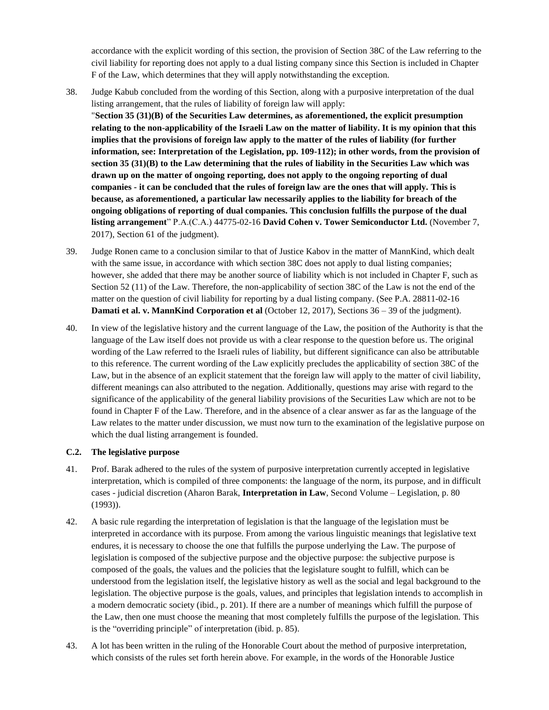accordance with the explicit wording of this section, the provision of Section 38C of the Law referring to the civil liability for reporting does not apply to a dual listing company since this Section is included in Chapter F of the Law, which determines that they will apply notwithstanding the exception.

- 38. Judge Kabub concluded from the wording of this Section, along with a purposive interpretation of the dual listing arrangement, that the rules of liability of foreign law will apply: "**Section 35 (31)(B) of the Securities Law determines, as aforementioned, the explicit presumption relating to the non-applicability of the Israeli Law on the matter of liability. It is my opinion that this implies that the provisions of foreign law apply to the matter of the rules of liability (for further information, see: Interpretation of the Legislation, pp. 109-112); in other words, from the provision of section 35 (31)(B) to the Law determining that the rules of liability in the Securities Law which was drawn up on the matter of ongoing reporting, does not apply to the ongoing reporting of dual companies - it can be concluded that the rules of foreign law are the ones that will apply. This is because, as aforementioned, a particular law necessarily applies to the liability for breach of the ongoing obligations of reporting of dual companies. This conclusion fulfills the purpose of the dual listing arrangement**" P.A.(C.A.) 44775-02-16 **David Cohen v. Tower Semiconductor Ltd.** (November 7, 2017), Section 61 of the judgment).
- 39. Judge Ronen came to a conclusion similar to that of Justice Kabov in the matter of MannKind, which dealt with the same issue, in accordance with which section 38C does not apply to dual listing companies; however, she added that there may be another source of liability which is not included in Chapter F, such as Section 52 (11) of the Law. Therefore, the non-applicability of section 38C of the Law is not the end of the matter on the question of civil liability for reporting by a dual listing company. (See P.A. 28811-02-16 **Damati et al. v. MannKind Corporation et al** (October 12, 2017), Sections 36 – 39 of the judgment).
- 40. In view of the legislative history and the current language of the Law, the position of the Authority is that the language of the Law itself does not provide us with a clear response to the question before us. The original wording of the Law referred to the Israeli rules of liability, but different significance can also be attributable to this reference. The current wording of the Law explicitly precludes the applicability of section 38C of the Law, but in the absence of an explicit statement that the foreign law will apply to the matter of civil liability, different meanings can also attributed to the negation. Additionally, questions may arise with regard to the significance of the applicability of the general liability provisions of the Securities Law which are not to be found in Chapter F of the Law. Therefore, and in the absence of a clear answer as far as the language of the Law relates to the matter under discussion, we must now turn to the examination of the legislative purpose on which the dual listing arrangement is founded.

## **C.2. The legislative purpose**

- 41. Prof. Barak adhered to the rules of the system of purposive interpretation currently accepted in legislative interpretation, which is compiled of three components: the language of the norm, its purpose, and in difficult cases - judicial discretion (Aharon Barak, **Interpretation in Law**, Second Volume – Legislation, p. 80 (1993)).
- 42. A basic rule regarding the interpretation of legislation is that the language of the legislation must be interpreted in accordance with its purpose. From among the various linguistic meanings that legislative text endures, it is necessary to choose the one that fulfills the purpose underlying the Law. The purpose of legislation is composed of the subjective purpose and the objective purpose: the subjective purpose is composed of the goals, the values and the policies that the legislature sought to fulfill, which can be understood from the legislation itself, the legislative history as well as the social and legal background to the legislation. The objective purpose is the goals, values, and principles that legislation intends to accomplish in a modern democratic society (ibid., p. 201). If there are a number of meanings which fulfill the purpose of the Law, then one must choose the meaning that most completely fulfills the purpose of the legislation. This is the "overriding principle" of interpretation (ibid. p. 85).
- 43. A lot has been written in the ruling of the Honorable Court about the method of purposive interpretation, which consists of the rules set forth herein above. For example, in the words of the Honorable Justice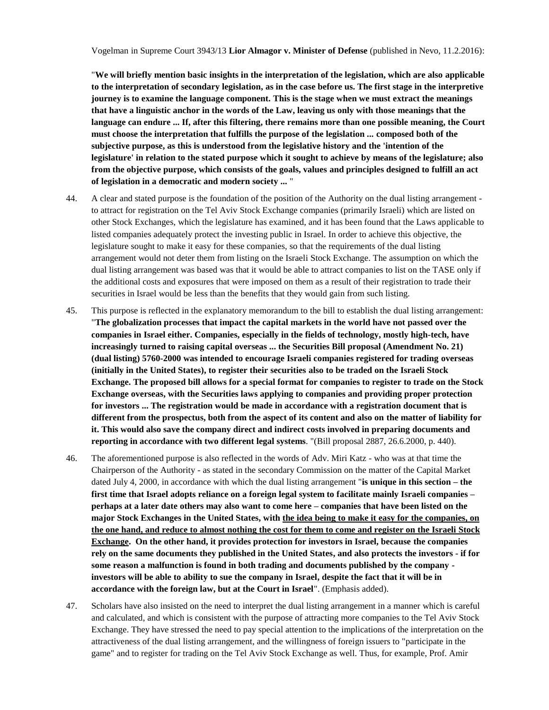"**We will briefly mention basic insights in the interpretation of the legislation, which are also applicable to the interpretation of secondary legislation, as in the case before us. The first stage in the interpretive journey is to examine the language component. This is the stage when we must extract the meanings that have a linguistic anchor in the words of the Law, leaving us only with those meanings that the language can endure ... If, after this filtering, there remains more than one possible meaning, the Court must choose the interpretation that fulfills the purpose of the legislation ... composed both of the subjective purpose, as this is understood from the legislative history and the 'intention of the legislature' in relation to the stated purpose which it sought to achieve by means of the legislature; also from the objective purpose, which consists of the goals, values and principles designed to fulfill an act of legislation in a democratic and modern society ...** "

- 44. A clear and stated purpose is the foundation of the position of the Authority on the dual listing arrangement to attract for registration on the Tel Aviv Stock Exchange companies (primarily Israeli) which are listed on other Stock Exchanges, which the legislature has examined, and it has been found that the Laws applicable to listed companies adequately protect the investing public in Israel. In order to achieve this objective, the legislature sought to make it easy for these companies, so that the requirements of the dual listing arrangement would not deter them from listing on the Israeli Stock Exchange. The assumption on which the dual listing arrangement was based was that it would be able to attract companies to list on the TASE only if the additional costs and exposures that were imposed on them as a result of their registration to trade their securities in Israel would be less than the benefits that they would gain from such listing.
- 45. This purpose is reflected in the explanatory memorandum to the bill to establish the dual listing arrangement: "**The globalization processes that impact the capital markets in the world have not passed over the companies in Israel either. Companies, especially in the fields of technology, mostly high-tech, have increasingly turned to raising capital overseas ... the Securities Bill proposal (Amendment No. 21) (dual listing) 5760-2000 was intended to encourage Israeli companies registered for trading overseas (initially in the United States), to register their securities also to be traded on the Israeli Stock Exchange. The proposed bill allows for a special format for companies to register to trade on the Stock Exchange overseas, with the Securities laws applying to companies and providing proper protection for investors ... The registration would be made in accordance with a registration document that is different from the prospectus, both from the aspect of its content and also on the matter of liability for it. This would also save the company direct and indirect costs involved in preparing documents and reporting in accordance with two different legal systems**. "(Bill proposal 2887, 26.6.2000, p. 440).
- 46. The aforementioned purpose is also reflected in the words of Adv. Miri Katz who was at that time the Chairperson of the Authority - as stated in the secondary Commission on the matter of the Capital Market dated July 4, 2000, in accordance with which the dual listing arrangement "**is unique in this section – the first time that Israel adopts reliance on a foreign legal system to facilitate mainly Israeli companies – perhaps at a later date others may also want to come here – companies that have been listed on the major Stock Exchanges in the United States, with the idea being to make it easy for the companies, on the one hand, and reduce to almost nothing the cost for them to come and register on the Israeli Stock Exchange. On the other hand, it provides protection for investors in Israel, because the companies rely on the same documents they published in the United States, and also protects the investors - if for some reason a malfunction is found in both trading and documents published by the company investors will be able to ability to sue the company in Israel, despite the fact that it will be in accordance with the foreign law, but at the Court in Israel**". (Emphasis added).
- 47. Scholars have also insisted on the need to interpret the dual listing arrangement in a manner which is careful and calculated, and which is consistent with the purpose of attracting more companies to the Tel Aviv Stock Exchange. They have stressed the need to pay special attention to the implications of the interpretation on the attractiveness of the dual listing arrangement, and the willingness of foreign issuers to "participate in the game" and to register for trading on the Tel Aviv Stock Exchange as well. Thus, for example, Prof. Amir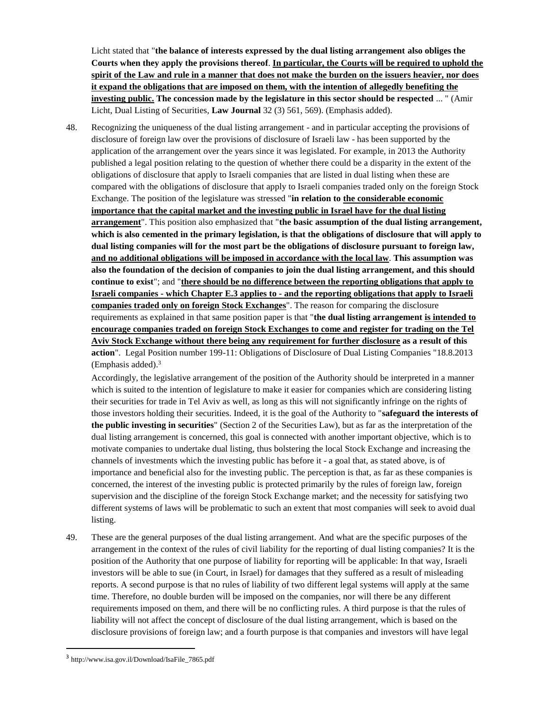Licht stated that "**the balance of interests expressed by the dual listing arrangement also obliges the Courts when they apply the provisions thereof**. **In particular, the Courts will be required to uphold the spirit of the Law and rule in a manner that does not make the burden on the issuers heavier, nor does it expand the obligations that are imposed on them, with the intention of allegedly benefiting the investing public. The concession made by the legislature in this sector should be respected** ... " (Amir Licht, Dual Listing of Securities, **Law Journal** 32 (3) 561, 569). (Emphasis added).

48. Recognizing the uniqueness of the dual listing arrangement - and in particular accepting the provisions of disclosure of foreign law over the provisions of disclosure of Israeli law - has been supported by the application of the arrangement over the years since it was legislated. For example, in 2013 the Authority published a legal position relating to the question of whether there could be a disparity in the extent of the obligations of disclosure that apply to Israeli companies that are listed in dual listing when these are compared with the obligations of disclosure that apply to Israeli companies traded only on the foreign Stock Exchange. The position of the legislature was stressed "**in relation to the considerable economic importance that the capital market and the investing public in Israel have for the dual listing arrangement**". This position also emphasized that "**the basic assumption of the dual listing arrangement, which is also cemented in the primary legislation, is that the obligations of disclosure that will apply to dual listing companies will for the most part be the obligations of disclosure pursuant to foreign law, and no additional obligations will be imposed in accordance with the local law**. **This assumption was also the foundation of the decision of companies to join the dual listing arrangement, and this should continue to exist**"; and "**there should be no difference between the reporting obligations that apply to Israeli companies - which Chapter E.3 applies to - and the reporting obligations that apply to Israeli companies traded only on foreign Stock Exchanges**". The reason for comparing the disclosure requirements as explained in that same position paper is that "**the dual listing arrangement is intended to encourage companies traded on foreign Stock Exchanges to come and register for trading on the Tel Aviv Stock Exchange without there being any requirement for further disclosure as a result of this action**". Legal Position number 199-11: Obligations of Disclosure of Dual Listing Companies "18.8.2013 (Emphasis added). 3

Accordingly, the legislative arrangement of the position of the Authority should be interpreted in a manner which is suited to the intention of legislature to make it easier for companies which are considering listing their securities for trade in Tel Aviv as well, as long as this will not significantly infringe on the rights of those investors holding their securities. Indeed, it is the goal of the Authority to "**safeguard the interests of the public investing in securities**" (Section 2 of the Securities Law), but as far as the interpretation of the dual listing arrangement is concerned, this goal is connected with another important objective, which is to motivate companies to undertake dual listing, thus bolstering the local Stock Exchange and increasing the channels of investments which the investing public has before it - a goal that, as stated above, is of importance and beneficial also for the investing public. The perception is that, as far as these companies is concerned, the interest of the investing public is protected primarily by the rules of foreign law, foreign supervision and the discipline of the foreign Stock Exchange market; and the necessity for satisfying two different systems of laws will be problematic to such an extent that most companies will seek to avoid dual listing.

49. These are the general purposes of the dual listing arrangement. And what are the specific purposes of the arrangement in the context of the rules of civil liability for the reporting of dual listing companies? It is the position of the Authority that one purpose of liability for reporting will be applicable: In that way, Israeli investors will be able to sue (in Court, in Israel) for damages that they suffered as a result of misleading reports. A second purpose is that no rules of liability of two different legal systems will apply at the same time. Therefore, no double burden will be imposed on the companies, nor will there be any different requirements imposed on them, and there will be no conflicting rules. A third purpose is that the rules of liability will not affect the concept of disclosure of the dual listing arrangement, which is based on the disclosure provisions of foreign law; and a fourth purpose is that companies and investors will have legal

 $\overline{a}$ 

<sup>3</sup> http://www.isa.gov.il/Download/IsaFile\_7865.pdf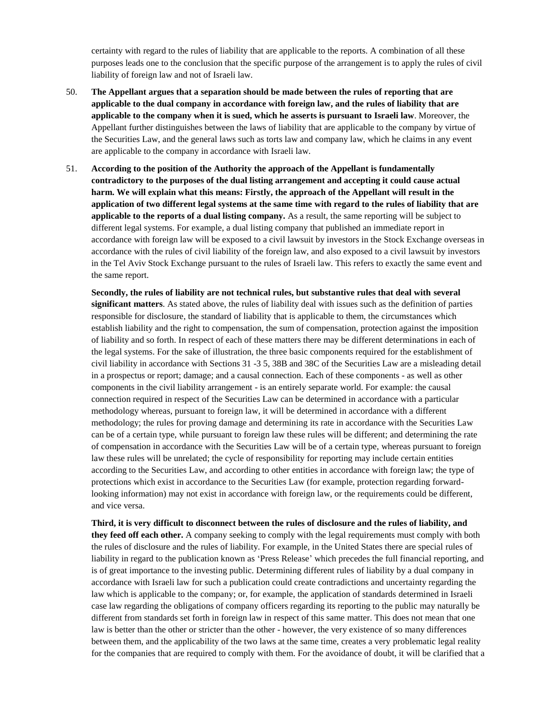certainty with regard to the rules of liability that are applicable to the reports. A combination of all these purposes leads one to the conclusion that the specific purpose of the arrangement is to apply the rules of civil liability of foreign law and not of Israeli law.

- 50. **The Appellant argues that a separation should be made between the rules of reporting that are applicable to the dual company in accordance with foreign law, and the rules of liability that are applicable to the company when it is sued, which he asserts is pursuant to Israeli law**. Moreover, the Appellant further distinguishes between the laws of liability that are applicable to the company by virtue of the Securities Law, and the general laws such as torts law and company law, which he claims in any event are applicable to the company in accordance with Israeli law.
- 51. **According to the position of the Authority the approach of the Appellant is fundamentally contradictory to the purposes of the dual listing arrangement and accepting it could cause actual harm. We will explain what this means: Firstly, the approach of the Appellant will result in the application of two different legal systems at the same time with regard to the rules of liability that are applicable to the reports of a dual listing company.** As a result, the same reporting will be subject to different legal systems. For example, a dual listing company that published an immediate report in accordance with foreign law will be exposed to a civil lawsuit by investors in the Stock Exchange overseas in accordance with the rules of civil liability of the foreign law, and also exposed to a civil lawsuit by investors in the Tel Aviv Stock Exchange pursuant to the rules of Israeli law. This refers to exactly the same event and the same report.

**Secondly, the rules of liability are not technical rules, but substantive rules that deal with several significant matters**. As stated above, the rules of liability deal with issues such as the definition of parties responsible for disclosure, the standard of liability that is applicable to them, the circumstances which establish liability and the right to compensation, the sum of compensation, protection against the imposition of liability and so forth. In respect of each of these matters there may be different determinations in each of the legal systems. For the sake of illustration, the three basic components required for the establishment of civil liability in accordance with Sections 31 -3 5, 38B and 38C of the Securities Law are a misleading detail in a prospectus or report; damage; and a causal connection. Each of these components - as well as other components in the civil liability arrangement - is an entirely separate world. For example: the causal connection required in respect of the Securities Law can be determined in accordance with a particular methodology whereas, pursuant to foreign law, it will be determined in accordance with a different methodology; the rules for proving damage and determining its rate in accordance with the Securities Law can be of a certain type, while pursuant to foreign law these rules will be different; and determining the rate of compensation in accordance with the Securities Law will be of a certain type, whereas pursuant to foreign law these rules will be unrelated; the cycle of responsibility for reporting may include certain entities according to the Securities Law, and according to other entities in accordance with foreign law; the type of protections which exist in accordance to the Securities Law (for example, protection regarding forwardlooking information) may not exist in accordance with foreign law, or the requirements could be different, and vice versa.

**Third, it is very difficult to disconnect between the rules of disclosure and the rules of liability, and they feed off each other.** A company seeking to comply with the legal requirements must comply with both the rules of disclosure and the rules of liability. For example, in the United States there are special rules of liability in regard to the publication known as 'Press Release' which precedes the full financial reporting, and is of great importance to the investing public. Determining different rules of liability by a dual company in accordance with Israeli law for such a publication could create contradictions and uncertainty regarding the law which is applicable to the company; or, for example, the application of standards determined in Israeli case law regarding the obligations of company officers regarding its reporting to the public may naturally be different from standards set forth in foreign law in respect of this same matter. This does not mean that one law is better than the other or stricter than the other - however, the very existence of so many differences between them, and the applicability of the two laws at the same time, creates a very problematic legal reality for the companies that are required to comply with them. For the avoidance of doubt, it will be clarified that a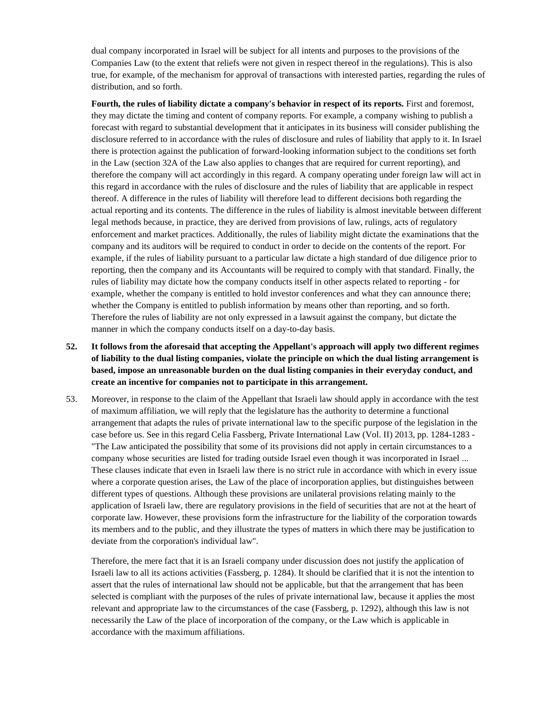dual company incorporated in Israel will be subject for all intents and purposes to the provisions of the Companies Law (to the extent that reliefs were not given in respect thereof in the regulations). This is also true, for example, of the mechanism for approval of transactions with interested parties, regarding the rules of distribution, and so forth.

**Fourth, the rules of liability dictate a company's behavior in respect of its reports.** First and foremost, they may dictate the timing and content of company reports. For example, a company wishing to publish a forecast with regard to substantial development that it anticipates in its business will consider publishing the disclosure referred to in accordance with the rules of disclosure and rules of liability that apply to it. In Israel there is protection against the publication of forward-looking information subject to the conditions set forth in the Law (section 32A of the Law also applies to changes that are required for current reporting), and therefore the company will act accordingly in this regard. A company operating under foreign law will act in this regard in accordance with the rules of disclosure and the rules of liability that are applicable in respect thereof. A difference in the rules of liability will therefore lead to different decisions both regarding the actual reporting and its contents. The difference in the rules of liability is almost inevitable between different legal methods because, in practice, they are derived from provisions of law, rulings, acts of regulatory enforcement and market practices. Additionally, the rules of liability might dictate the examinations that the company and its auditors will be required to conduct in order to decide on the contents of the report. For example, if the rules of liability pursuant to a particular law dictate a high standard of due diligence prior to reporting, then the company and its Accountants will be required to comply with that standard. Finally, the rules of liability may dictate how the company conducts itself in other aspects related to reporting - for example, whether the company is entitled to hold investor conferences and what they can announce there; whether the Company is entitled to publish information by means other than reporting, and so forth. Therefore the rules of liability are not only expressed in a lawsuit against the company, but dictate the manner in which the company conducts itself on a day-to-day basis.

- **52. It follows from the aforesaid that accepting the Appellant's approach will apply two different regimes of liability to the dual listing companies, violate the principle on which the dual listing arrangement is based, impose an unreasonable burden on the dual listing companies in their everyday conduct, and create an incentive for companies not to participate in this arrangement.**
- 53. Moreover, in response to the claim of the Appellant that Israeli law should apply in accordance with the test of maximum affiliation, we will reply that the legislature has the authority to determine a functional arrangement that adapts the rules of private international law to the specific purpose of the legislation in the case before us. See in this regard Celia Fassberg, Private International Law (Vol. II) 2013, pp. 1284-1283 - "The Law anticipated the possibility that some of its provisions did not apply in certain circumstances to a company whose securities are listed for trading outside Israel even though it was incorporated in Israel ... These clauses indicate that even in Israeli law there is no strict rule in accordance with which in every issue where a corporate question arises, the Law of the place of incorporation applies, but distinguishes between different types of questions. Although these provisions are unilateral provisions relating mainly to the application of Israeli law, there are regulatory provisions in the field of securities that are not at the heart of corporate law. However, these provisions form the infrastructure for the liability of the corporation towards its members and to the public, and they illustrate the types of matters in which there may be justification to deviate from the corporation's individual law".

Therefore, the mere fact that it is an Israeli company under discussion does not justify the application of Israeli law to all its actions activities (Fassberg, p. 1284). It should be clarified that it is not the intention to assert that the rules of international law should not be applicable, but that the arrangement that has been selected is compliant with the purposes of the rules of private international law, because it applies the most relevant and appropriate law to the circumstances of the case (Fassberg, p. 1292), although this law is not necessarily the Law of the place of incorporation of the company, or the Law which is applicable in accordance with the maximum affiliations.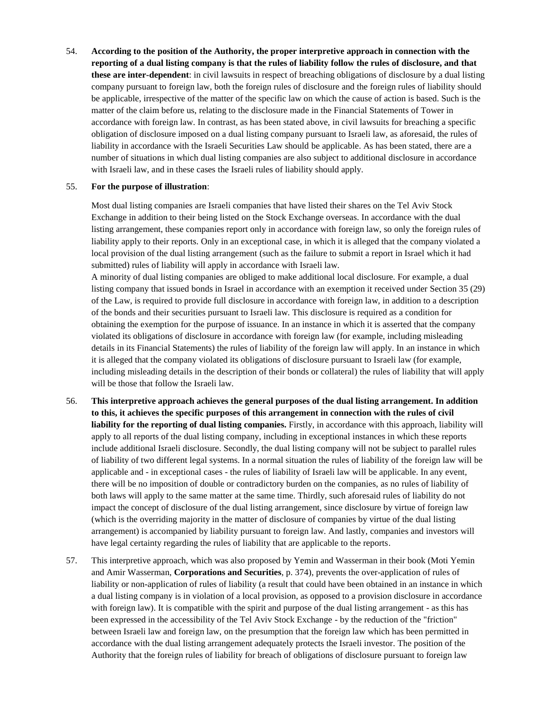54. **According to the position of the Authority, the proper interpretive approach in connection with the reporting of a dual listing company is that the rules of liability follow the rules of disclosure, and that these are inter-dependent**: in civil lawsuits in respect of breaching obligations of disclosure by a dual listing company pursuant to foreign law, both the foreign rules of disclosure and the foreign rules of liability should be applicable, irrespective of the matter of the specific law on which the cause of action is based. Such is the matter of the claim before us, relating to the disclosure made in the Financial Statements of Tower in accordance with foreign law. In contrast, as has been stated above, in civil lawsuits for breaching a specific obligation of disclosure imposed on a dual listing company pursuant to Israeli law, as aforesaid, the rules of liability in accordance with the Israeli Securities Law should be applicable. As has been stated, there are a number of situations in which dual listing companies are also subject to additional disclosure in accordance with Israeli law, and in these cases the Israeli rules of liability should apply.

#### 55. **For the purpose of illustration**:

Most dual listing companies are Israeli companies that have listed their shares on the Tel Aviv Stock Exchange in addition to their being listed on the Stock Exchange overseas. In accordance with the dual listing arrangement, these companies report only in accordance with foreign law, so only the foreign rules of liability apply to their reports. Only in an exceptional case, in which it is alleged that the company violated a local provision of the dual listing arrangement (such as the failure to submit a report in Israel which it had submitted) rules of liability will apply in accordance with Israeli law.

A minority of dual listing companies are obliged to make additional local disclosure. For example, a dual listing company that issued bonds in Israel in accordance with an exemption it received under Section 35 (29) of the Law, is required to provide full disclosure in accordance with foreign law, in addition to a description of the bonds and their securities pursuant to Israeli law. This disclosure is required as a condition for obtaining the exemption for the purpose of issuance. In an instance in which it is asserted that the company violated its obligations of disclosure in accordance with foreign law (for example, including misleading details in its Financial Statements) the rules of liability of the foreign law will apply. In an instance in which it is alleged that the company violated its obligations of disclosure pursuant to Israeli law (for example, including misleading details in the description of their bonds or collateral) the rules of liability that will apply will be those that follow the Israeli law.

- 56. **This interpretive approach achieves the general purposes of the dual listing arrangement. In addition to this, it achieves the specific purposes of this arrangement in connection with the rules of civil liability for the reporting of dual listing companies.** Firstly, in accordance with this approach, liability will apply to all reports of the dual listing company, including in exceptional instances in which these reports include additional Israeli disclosure. Secondly, the dual listing company will not be subject to parallel rules of liability of two different legal systems. In a normal situation the rules of liability of the foreign law will be applicable and - in exceptional cases - the rules of liability of Israeli law will be applicable. In any event, there will be no imposition of double or contradictory burden on the companies, as no rules of liability of both laws will apply to the same matter at the same time. Thirdly, such aforesaid rules of liability do not impact the concept of disclosure of the dual listing arrangement, since disclosure by virtue of foreign law (which is the overriding majority in the matter of disclosure of companies by virtue of the dual listing arrangement) is accompanied by liability pursuant to foreign law. And lastly, companies and investors will have legal certainty regarding the rules of liability that are applicable to the reports.
- 57. This interpretive approach, which was also proposed by Yemin and Wasserman in their book (Moti Yemin and Amir Wasserman, **Corporations and Securities**, p. 374), prevents the over-application of rules of liability or non-application of rules of liability (a result that could have been obtained in an instance in which a dual listing company is in violation of a local provision, as opposed to a provision disclosure in accordance with foreign law). It is compatible with the spirit and purpose of the dual listing arrangement - as this has been expressed in the accessibility of the Tel Aviv Stock Exchange - by the reduction of the "friction" between Israeli law and foreign law, on the presumption that the foreign law which has been permitted in accordance with the dual listing arrangement adequately protects the Israeli investor. The position of the Authority that the foreign rules of liability for breach of obligations of disclosure pursuant to foreign law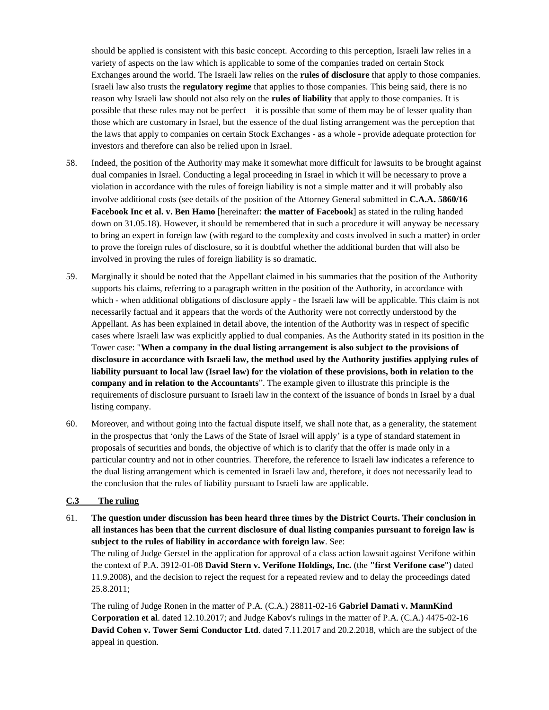should be applied is consistent with this basic concept. According to this perception, Israeli law relies in a variety of aspects on the law which is applicable to some of the companies traded on certain Stock Exchanges around the world. The Israeli law relies on the **rules of disclosure** that apply to those companies. Israeli law also trusts the **regulatory regime** that applies to those companies. This being said, there is no reason why Israeli law should not also rely on the **rules of liability** that apply to those companies. It is possible that these rules may not be perfect – it is possible that some of them may be of lesser quality than those which are customary in Israel, but the essence of the dual listing arrangement was the perception that the laws that apply to companies on certain Stock Exchanges - as a whole - provide adequate protection for investors and therefore can also be relied upon in Israel.

- 58. Indeed, the position of the Authority may make it somewhat more difficult for lawsuits to be brought against dual companies in Israel. Conducting a legal proceeding in Israel in which it will be necessary to prove a violation in accordance with the rules of foreign liability is not a simple matter and it will probably also involve additional costs (see details of the position of the Attorney General submitted in **C.A.A. 5860/16 Facebook Inc et al. v. Ben Hamo** [hereinafter: **the matter of Facebook**] as stated in the ruling handed down on 31.05.18). However, it should be remembered that in such a procedure it will anyway be necessary to bring an expert in foreign law (with regard to the complexity and costs involved in such a matter) in order to prove the foreign rules of disclosure, so it is doubtful whether the additional burden that will also be involved in proving the rules of foreign liability is so dramatic.
- 59. Marginally it should be noted that the Appellant claimed in his summaries that the position of the Authority supports his claims, referring to a paragraph written in the position of the Authority, in accordance with which - when additional obligations of disclosure apply - the Israeli law will be applicable. This claim is not necessarily factual and it appears that the words of the Authority were not correctly understood by the Appellant. As has been explained in detail above, the intention of the Authority was in respect of specific cases where Israeli law was explicitly applied to dual companies. As the Authority stated in its position in the Tower case: "**When a company in the dual listing arrangement is also subject to the provisions of disclosure in accordance with Israeli law, the method used by the Authority justifies applying rules of liability pursuant to local law (Israel law) for the violation of these provisions, both in relation to the company and in relation to the Accountants**". The example given to illustrate this principle is the requirements of disclosure pursuant to Israeli law in the context of the issuance of bonds in Israel by a dual listing company.
- 60. Moreover, and without going into the factual dispute itself, we shall note that, as a generality, the statement in the prospectus that 'only the Laws of the State of Israel will apply' is a type of standard statement in proposals of securities and bonds, the objective of which is to clarify that the offer is made only in a particular country and not in other countries. Therefore, the reference to Israeli law indicates a reference to the dual listing arrangement which is cemented in Israeli law and, therefore, it does not necessarily lead to the conclusion that the rules of liability pursuant to Israeli law are applicable.

## **C.3 The ruling**

61. **The question under discussion has been heard three times by the District Courts. Their conclusion in all instances has been that the current disclosure of dual listing companies pursuant to foreign law is subject to the rules of liability in accordance with foreign law**. See:

The ruling of Judge Gerstel in the application for approval of a class action lawsuit against Verifone within the context of P.A. 3912-01-08 **David Stern v. Verifone Holdings, Inc.** (the **"first Verifone case**") dated 11.9.2008), and the decision to reject the request for a repeated review and to delay the proceedings dated 25.8.2011;

The ruling of Judge Ronen in the matter of P.A. (C.A.) 28811-02-16 **Gabriel Damati v. MannKind Corporation et al**. dated 12.10.2017; and Judge Kabov's rulings in the matter of P.A. (C.A.) 4475-02-16 **David Cohen v. Tower Semi Conductor Ltd**. dated 7.11.2017 and 20.2.2018, which are the subject of the appeal in question.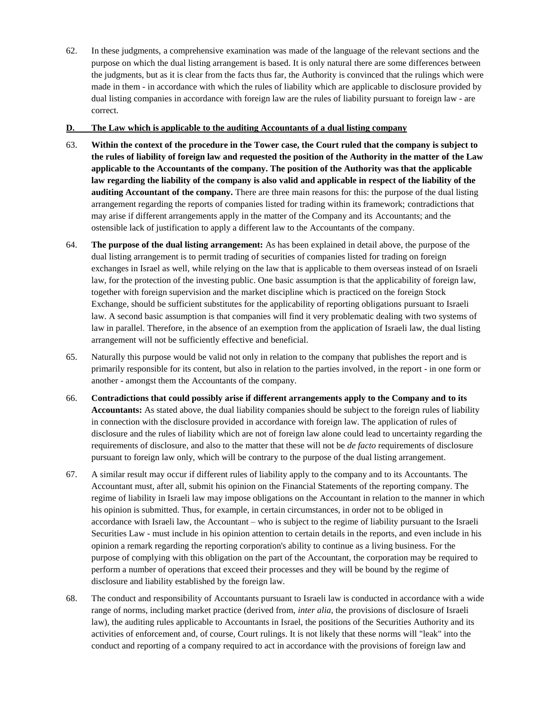62. In these judgments, a comprehensive examination was made of the language of the relevant sections and the purpose on which the dual listing arrangement is based. It is only natural there are some differences between the judgments, but as it is clear from the facts thus far, the Authority is convinced that the rulings which were made in them - in accordance with which the rules of liability which are applicable to disclosure provided by dual listing companies in accordance with foreign law are the rules of liability pursuant to foreign law - are correct.

### **D. The Law which is applicable to the auditing Accountants of a dual listing company**

- 63. **Within the context of the procedure in the Tower case, the Court ruled that the company is subject to the rules of liability of foreign law and requested the position of the Authority in the matter of the Law applicable to the Accountants of the company. The position of the Authority was that the applicable law regarding the liability of the company is also valid and applicable in respect of the liability of the auditing Accountant of the company.** There are three main reasons for this: the purpose of the dual listing arrangement regarding the reports of companies listed for trading within its framework; contradictions that may arise if different arrangements apply in the matter of the Company and its Accountants; and the ostensible lack of justification to apply a different law to the Accountants of the company.
- 64. **The purpose of the dual listing arrangement:** As has been explained in detail above, the purpose of the dual listing arrangement is to permit trading of securities of companies listed for trading on foreign exchanges in Israel as well, while relying on the law that is applicable to them overseas instead of on Israeli law, for the protection of the investing public. One basic assumption is that the applicability of foreign law, together with foreign supervision and the market discipline which is practiced on the foreign Stock Exchange, should be sufficient substitutes for the applicability of reporting obligations pursuant to Israeli law. A second basic assumption is that companies will find it very problematic dealing with two systems of law in parallel. Therefore, in the absence of an exemption from the application of Israeli law, the dual listing arrangement will not be sufficiently effective and beneficial.
- 65. Naturally this purpose would be valid not only in relation to the company that publishes the report and is primarily responsible for its content, but also in relation to the parties involved, in the report - in one form or another - amongst them the Accountants of the company.
- 66. **Contradictions that could possibly arise if different arrangements apply to the Company and to its Accountants:** As stated above, the dual liability companies should be subject to the foreign rules of liability in connection with the disclosure provided in accordance with foreign law. The application of rules of disclosure and the rules of liability which are not of foreign law alone could lead to uncertainty regarding the requirements of disclosure, and also to the matter that these will not be *de facto* requirements of disclosure pursuant to foreign law only, which will be contrary to the purpose of the dual listing arrangement.
- 67. A similar result may occur if different rules of liability apply to the company and to its Accountants. The Accountant must, after all, submit his opinion on the Financial Statements of the reporting company. The regime of liability in Israeli law may impose obligations on the Accountant in relation to the manner in which his opinion is submitted. Thus, for example, in certain circumstances, in order not to be obliged in accordance with Israeli law, the Accountant – who is subject to the regime of liability pursuant to the Israeli Securities Law - must include in his opinion attention to certain details in the reports, and even include in his opinion a remark regarding the reporting corporation's ability to continue as a living business. For the purpose of complying with this obligation on the part of the Accountant, the corporation may be required to perform a number of operations that exceed their processes and they will be bound by the regime of disclosure and liability established by the foreign law.
- 68. The conduct and responsibility of Accountants pursuant to Israeli law is conducted in accordance with a wide range of norms, including market practice (derived from, *inter alia*, the provisions of disclosure of Israeli law), the auditing rules applicable to Accountants in Israel, the positions of the Securities Authority and its activities of enforcement and, of course, Court rulings. It is not likely that these norms will "leak" into the conduct and reporting of a company required to act in accordance with the provisions of foreign law and